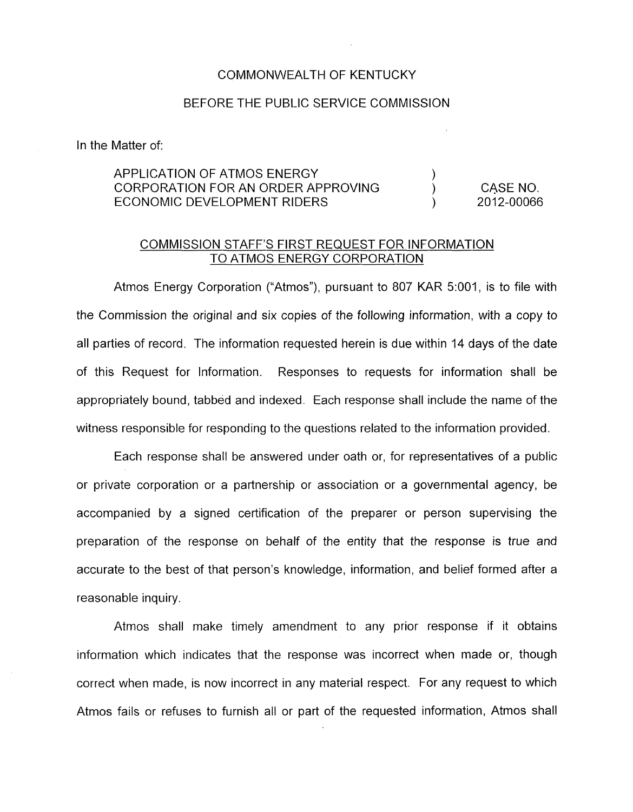## COMMONWEALTH OF KENTUCKY

## BEFORE THE PUBLIC SERVICE COMMISSION

In the Matter of:

## APPLICATION OF ATMOS ENERGY ) CORPORATION FOR AN ORDER APPROVING  $\begin{array}{ccc} & & \text{O} \\ \text{FCONOMIC DFYFI OPMFNT RIDERS} & & \text{O.} \end{array}$ **ECONOMIC DEVELOPMENT RIDERS**

## COMMISSION STAFF'S FIRST REQUEST FOR INFORMATION TO ATMOS ENERGY CORPORATION

Atmos Energy Corporation ("Atmos"), pursuant to 807 KAR 5:001, is to file with the Commission the original and six copies of the following information, with a copy to all parties of record. The information requested herein is due within 14 days of the date of this Request for Information. Responses to requests for information shall be appropriately bound, tabbed and indexed. Each response shall include the name of the witness responsible for responding to the questions related to the information provided.

Each response shall be answered under oath or, for representatives of a public or private corporation or a partnership or association or a governmental agency, be accompanied by a signed certification of the preparer or person supervising the preparation of the response on behalf of the entity that the response is true and accurate to the best of that person's knowledge, information, and belief formed after a reasonable inquiry.

Atmos shall make timely amendment to any prior response if it obtains information which indicates that the response was incorrect when made or, though correct when made, is now incorrect in any material respect. For any request to which Atmos fails or refuses to furnish all or part of the requested information, Atmos shall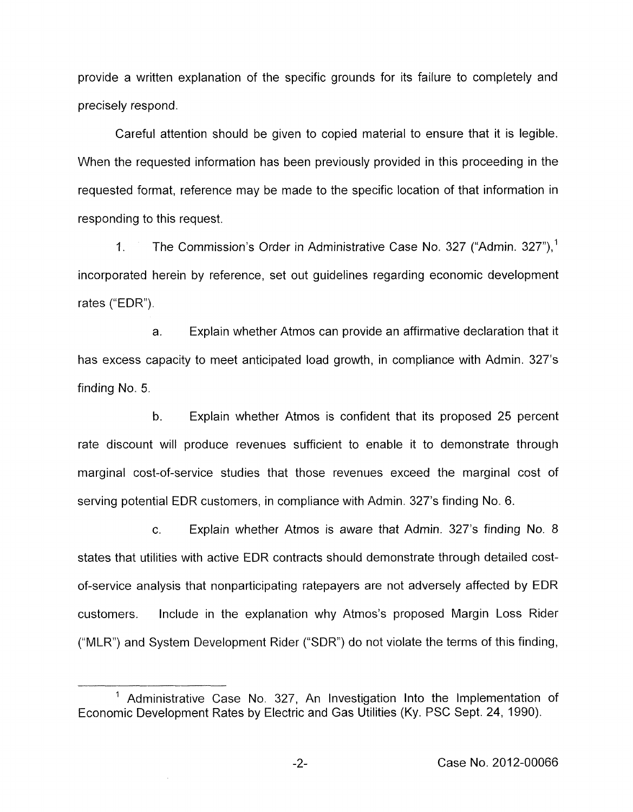provide a written explanation of the specific grounds for its failure to completely and precisely respond.

Careful attention should be given to copied material to ensure that it is legible. When the requested information has been previously provided in this proceeding in the requested format, reference may be made to the specific location of that information in responding to this request.

1. The Commission's Order in Administrative Case No. 327 ("Admin. 327").<sup>1</sup> incorporated herein by reference, set out guidelines regarding economic development rates ("EDR").

a. Explain whether Atmos can provide an affirmative declaration that it has excess capacity to meet anticipated load growth, in compliance with Admin. 327's finding No. *5.* 

h. Explain whether Atmos is confident that its proposed 25 percent rate discount will produce revenues sufficient to enable it to demonstrate through marginal cost-of-service studies that those revenues exceed the marginal cost of serving potential EDR customers, in compliance with Admin. 327's finding **No.** 6.

c. Explain whether Atmos is aware that Admin. 327's finding No. 8 states that utilities with active EDR contracts should demonstrate through detailed costof-service analysis that nonparticipating ratepayers are not adversely affected by EDR customers. Include in the explanation why Atmos's proposed Margin Loss Rider ("MLR") and System Development Rider ("SDR") do not violate the terms of this finding,

<sup>&#</sup>x27; Administrative Case No. 327, An Investigation Into the Implementation of Economic Development Rates by Electric and Gas Utilities (Ky. PSC Sept. 24, 1990).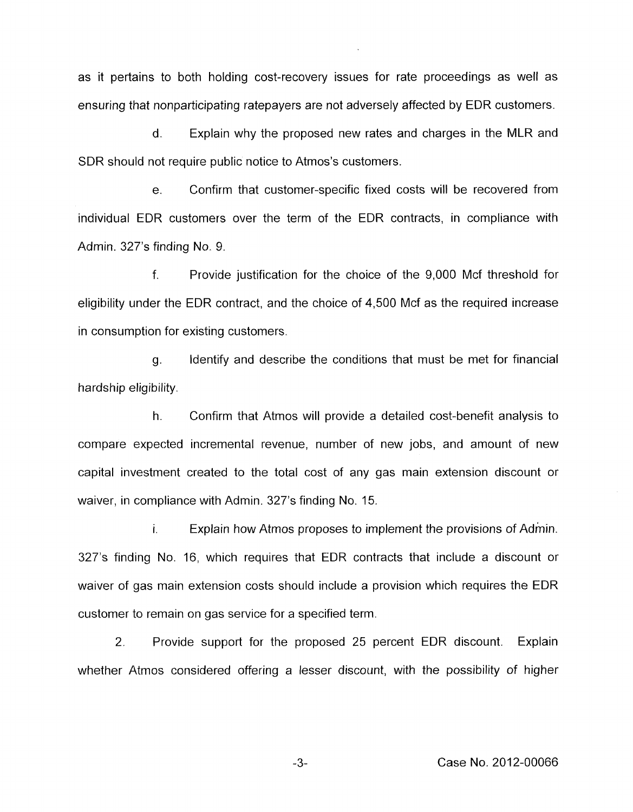as it pertains to both holding cost-recovery issues for rate proceedings as well as ensuring that nonparticipating ratepayers are not adversely affected by EDR customers.

d. Explain why the proposed new rates and charges in the MLR and SDR should not require public notice to Atmos's customers.

e. Confirm that customer-specific fixed costs will be recovered from individual EDR customers over the term of the EDR contracts, in compliance with Admin. 327's finding No. 9.

f. Provide justification for the choice of the 9,000 Mcf threshold for eligibility under the EDR contract, and the choice of 4,500 Mcf as the required increase in consumption for existing customers.

g. Identify and describe the conditions that must be met for financial hardship eligibility.

h. Confirm that Atmos will provide a detailed cost-benefit analysis to compare expected incremental revenue, number of new jobs, and amount of new capital investment created to the total cost of any gas main extension discount or waiver, in compliance with Admin. 327's finding No. 15.

**I.** Explain how Atmos proposes to implement the provisions of Admin. 327's finding No. 16, which requires that. EDR contracts that include a discount or waiver of gas main extension costs should include a provision which requires the EDR customer to remain on gas service for a specified term.

2. Provide support for the proposed 25 percent EDR discount. Explain whether Atmos considered offering a lesser discount, with the possibility of higher

**-3-** Case No. 2012-00066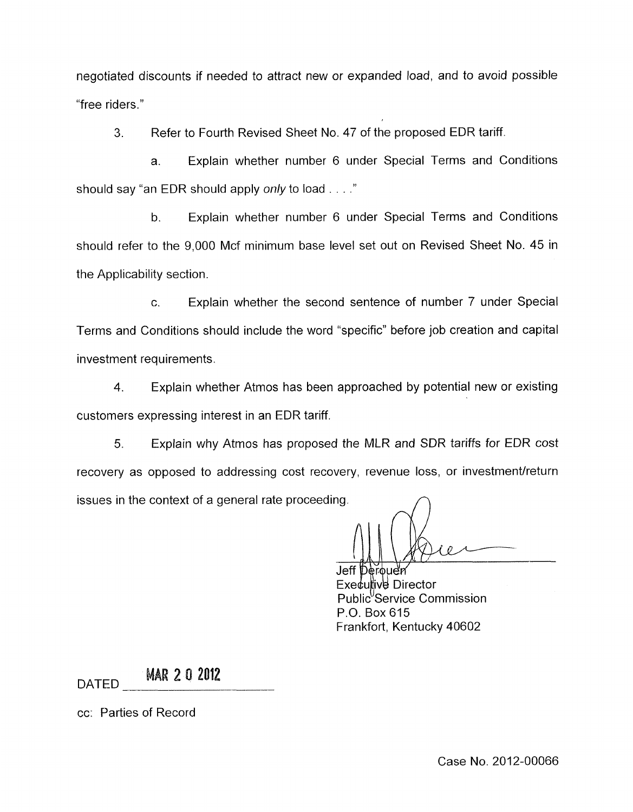negotiated discounts if needed to attract new or expanded load, and to avoid possible "free riders."

**3.** Refer to Fourth Revised Sheet No. 47 of the proposed EDR tariff.

a. Explain whether number 6 under Special Terms and Conditions should say "an EDR should apply *only* to load . . . ."

b. Explain whether number 6 under Special Terms and Conditions should refer to the 9,000 Mcf minimum base level set out on Revised Sheet No. 45 in the Applicability section

*c.* Explain whether the second sentence of number 7 under Special Terms and Conditions should include the word "specific" before job creation and capital investment requirements.

4. Explain whether Atmos has been approached by potential new or existing customers expressing interest in an EDR tariff.

*5.* Explain why Atmos has proposed the MLR and SDR tariffs for EDR cost recovery as opposed to addressing cost recovery, revenue loss, or investment/return issues in the context of a general rate proceeding.

Jeff Derouen Executive Director Public<sup>'</sup>Service Commission P.O. Box 615 Frankfort, Kentucky 40602

**MAR 2 0 2012 DATED** 

cc: Parties of Record